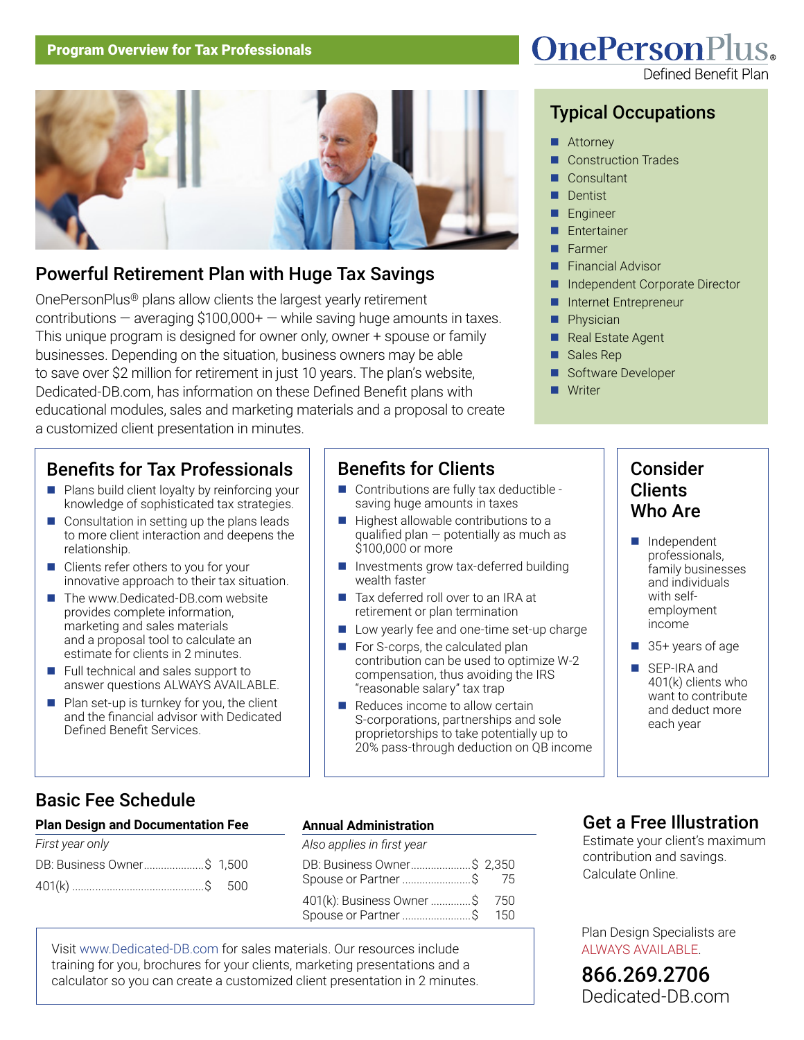

# Powerful Retirement Plan with Huge Tax Savings

OnePersonPlus® plans allow clients the largest yearly retirement contributions  $-$  averaging \$100,000+  $-$  while saving huge amounts in taxes. This unique program is designed for owner only, owner + spouse or family businesses. Depending on the situation, business owners may be able to save over \$2 million for retirement in just 10 years. The plan's website, Dedicated-DB.com, has information on these Defined Benefit plans with educational modules, sales and marketing materials and a proposal to create a customized client presentation in minutes.

# Benefits for Tax Professionals

- $\blacksquare$  Plans build client loyalty by reinforcing your knowledge of sophisticated tax strategies.
- $\Box$  Consultation in setting up the plans leads to more client interaction and deepens the relationship.
- $\blacksquare$  Clients refer others to you for your innovative approach to their tax situation.
- The www.Dedicated-DB.com website provides complete information, marketing and sales materials and a proposal tool to calculate an estimate for clients in 2 minutes.
- $\blacksquare$  Full technical and sales support to answer questions ALWAYS AVAILABLE.
- $\blacksquare$  Plan set-up is turnkey for you, the client and the financial advisor with Dedicated Defined Benefit Services.

# Benefits for Clients

- Contributions are fully tax deductible saving huge amounts in taxes
- $\blacksquare$  Highest allowable contributions to a qualified plan — potentially as much as \$100,000 or more
- $\blacksquare$  Investments grow tax-deferred building wealth faster
- Tax deferred roll over to an IRA at retirement or plan termination
- Low yearly fee and one-time set-up charge
- $\blacksquare$  For S-corps, the calculated plan contribution can be used to optimize W-2 compensation, thus avoiding the IRS "reasonable salary" tax trap
- $\blacksquare$  Reduces income to allow certain S-corporations, partnerships and sole proprietorships to take potentially up to 20% pass-through deduction on QB income

# **OnePersonPlus.**

# Typical Occupations

- Attorney
- **Construction Trades**
- Consultant
- **Dentist**
- **Engineer**
- **Entertainer**
- Farmer
- **Financial Advisor**
- n Independent Corporate Director
- n Internet Entrepreneur
- Physician
- Real Estate Agent
- Sales Rep
- Software Developer
- Writer

# Consider Clients Who Are

- **n** Independent professionals, family businesses and individuals with selfemployment income
- 35+ years of age
- SEP-IRA and 401(k) clients who want to contribute and deduct more each year

# Basic Fee Schedule

#### **Plan Design and Documentation Fee**

| First year only             |  |
|-----------------------------|--|
| DB: Business Owner \$ 1,500 |  |
|                             |  |

### **Annual Administration**

| Also applies in first year                                |  |
|-----------------------------------------------------------|--|
| DB: Business Owner \$ 2,350<br>Spouse or Partner \$ 75    |  |
| 401(k): Business Owner \$ 750<br>Spouse or Partner \$ 150 |  |

Visit www.Dedicated-DB.com for sales materials. Our resources include training for you, brochures for your clients, marketing presentations and a calculator so you can create a customized client presentation in 2 minutes.

# Get a Free Illustration

Estimate your client's maximum contribution and savings. Calculate Online.

Plan Design Specialists are ALWAYS AVAILABLE.

866.269.2706 [Dedicated-DB.com](http://www.Dedicated-DB.com/)